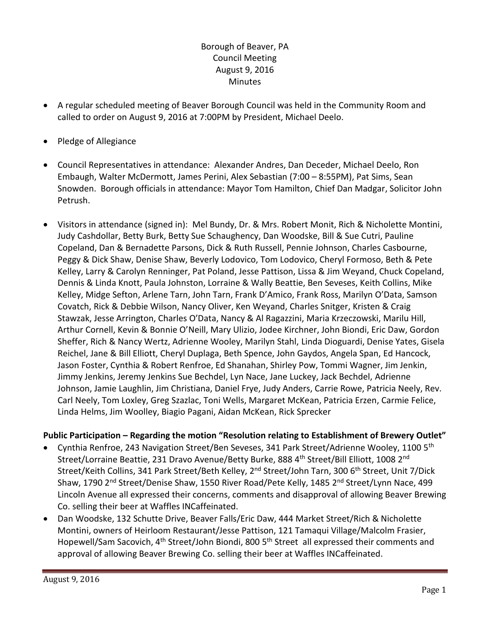# Borough of Beaver, PA Council Meeting August 9, 2016 Minutes

- A regular scheduled meeting of Beaver Borough Council was held in the Community Room and called to order on August 9, 2016 at 7:00PM by President, Michael Deelo.
- Pledge of Allegiance
- Council Representatives in attendance: Alexander Andres, Dan Deceder, Michael Deelo, Ron Embaugh, Walter McDermott, James Perini, Alex Sebastian (7:00 – 8:55PM), Pat Sims, Sean Snowden. Borough officials in attendance: Mayor Tom Hamilton, Chief Dan Madgar, Solicitor John Petrush.
- Visitors in attendance (signed in): Mel Bundy, Dr. & Mrs. Robert Monit, Rich & Nicholette Montini, Judy Cashdollar, Betty Burk, Betty Sue Schaughency, Dan Woodske, Bill & Sue Cutri, Pauline Copeland, Dan & Bernadette Parsons, Dick & Ruth Russell, Pennie Johnson, Charles Casbourne, Peggy & Dick Shaw, Denise Shaw, Beverly Lodovico, Tom Lodovico, Cheryl Formoso, Beth & Pete Kelley, Larry & Carolyn Renninger, Pat Poland, Jesse Pattison, Lissa & Jim Weyand, Chuck Copeland, Dennis & Linda Knott, Paula Johnston, Lorraine & Wally Beattie, Ben Seveses, Keith Collins, Mike Kelley, Midge Sefton, Arlene Tarn, John Tarn, Frank D'Amico, Frank Ross, Marilyn O'Data, Samson Covatch, Rick & Debbie Wilson, Nancy Oliver, Ken Weyand, Charles Snitger, Kristen & Craig Stawzak, Jesse Arrington, Charles O'Data, Nancy & Al Ragazzini, Maria Krzeczowski, Marilu Hill, Arthur Cornell, Kevin & Bonnie O'Neill, Mary Ulizio, Jodee Kirchner, John Biondi, Eric Daw, Gordon Sheffer, Rich & Nancy Wertz, Adrienne Wooley, Marilyn Stahl, Linda Dioguardi, Denise Yates, Gisela Reichel, Jane & Bill Elliott, Cheryl Duplaga, Beth Spence, John Gaydos, Angela Span, Ed Hancock, Jason Foster, Cynthia & Robert Renfroe, Ed Shanahan, Shirley Pow, Tommi Wagner, Jim Jenkin, Jimmy Jenkins, Jeremy Jenkins Sue Bechdel, Lyn Nace, Jane Luckey, Jack Bechdel, Adrienne Johnson, Jamie Laughlin, Jim Christiana, Daniel Frye, Judy Anders, Carrie Rowe, Patricia Neely, Rev. Carl Neely, Tom Loxley, Greg Szazlac, Toni Wells, Margaret McKean, Patricia Erzen, Carmie Felice, Linda Helms, Jim Woolley, Biagio Pagani, Aidan McKean, Rick Sprecker

## **Public Participation – Regarding the motion "Resolution relating to Establishment of Brewery Outlet"**

- Cynthia Renfroe, 243 Navigation Street/Ben Seveses, 341 Park Street/Adrienne Wooley, 1100 5th Street/Lorraine Beattie, 231 Dravo Avenue/Betty Burke, 888 4<sup>th</sup> Street/Bill Elliott, 1008 2<sup>nd</sup> Street/Keith Collins, 341 Park Street/Beth Kelley, 2<sup>nd</sup> Street/John Tarn, 300 6<sup>th</sup> Street, Unit 7/Dick Shaw, 1790 2<sup>nd</sup> Street/Denise Shaw, 1550 River Road/Pete Kelly, 1485 2<sup>nd</sup> Street/Lynn Nace, 499 Lincoln Avenue all expressed their concerns, comments and disapproval of allowing Beaver Brewing Co. selling their beer at Waffles INCaffeinated.
- Dan Woodske, 132 Schutte Drive, Beaver Falls/Eric Daw, 444 Market Street/Rich & Nicholette Montini, owners of Heirloom Restaurant/Jesse Pattison, 121 Tamaqui Village/Malcolm Frasier, Hopewell/Sam Sacovich, 4<sup>th</sup> Street/John Biondi, 800 5<sup>th</sup> Street all expressed their comments and approval of allowing Beaver Brewing Co. selling their beer at Waffles INCaffeinated.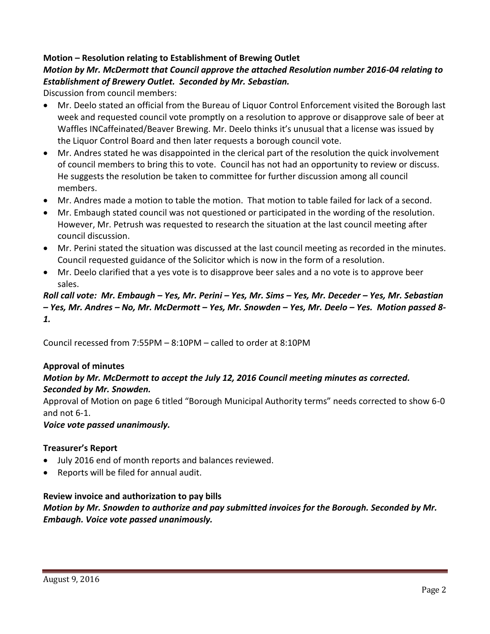## **Motion – Resolution relating to Establishment of Brewing Outlet**

# *Motion by Mr. McDermott that Council approve the attached Resolution number 2016-04 relating to Establishment of Brewery Outlet. Seconded by Mr. Sebastian.*

Discussion from council members:

- Mr. Deelo stated an official from the Bureau of Liquor Control Enforcement visited the Borough last week and requested council vote promptly on a resolution to approve or disapprove sale of beer at Waffles INCaffeinated/Beaver Brewing. Mr. Deelo thinks it's unusual that a license was issued by the Liquor Control Board and then later requests a borough council vote.
- Mr. Andres stated he was disappointed in the clerical part of the resolution the quick involvement of council members to bring this to vote. Council has not had an opportunity to review or discuss. He suggests the resolution be taken to committee for further discussion among all council members.
- Mr. Andres made a motion to table the motion. That motion to table failed for lack of a second.
- Mr. Embaugh stated council was not questioned or participated in the wording of the resolution. However, Mr. Petrush was requested to research the situation at the last council meeting after council discussion.
- Mr. Perini stated the situation was discussed at the last council meeting as recorded in the minutes. Council requested guidance of the Solicitor which is now in the form of a resolution.
- Mr. Deelo clarified that a yes vote is to disapprove beer sales and a no vote is to approve beer sales.

# *Roll call vote: Mr. Embaugh – Yes, Mr. Perini – Yes, Mr. Sims – Yes, Mr. Deceder – Yes, Mr. Sebastian – Yes, Mr. Andres – No, Mr. McDermott – Yes, Mr. Snowden – Yes, Mr. Deelo – Yes. Motion passed 8- 1.*

Council recessed from 7:55PM – 8:10PM – called to order at 8:10PM

### **Approval of minutes**

### *Motion by Mr. McDermott to accept the July 12, 2016 Council meeting minutes as corrected. Seconded by Mr. Snowden.*

Approval of Motion on page 6 titled "Borough Municipal Authority terms" needs corrected to show 6-0 and not 6-1.

*Voice vote passed unanimously.* 

### **Treasurer's Report**

- July 2016 end of month reports and balances reviewed.
- Reports will be filed for annual audit.

### **Review invoice and authorization to pay bills**

*Motion by Mr. Snowden to authorize and pay submitted invoices for the Borough. Seconded by Mr. Embaugh. Voice vote passed unanimously.*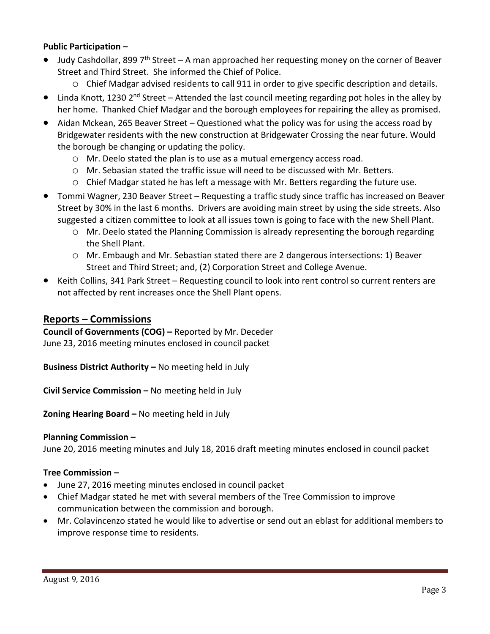## **Public Participation –**

- Judy Cashdollar, 899  $7<sup>th</sup> Street A man approached her requesting money on the corner of Beaver$ Street and Third Street. She informed the Chief of Police.
	- o Chief Madgar advised residents to call 911 in order to give specific description and details.
- $\bullet$  Linda Knott, 1230 2<sup>nd</sup> Street Attended the last council meeting regarding pot holes in the alley by her home. Thanked Chief Madgar and the borough employees for repairing the alley as promised.
- Aidan Mckean, 265 Beaver Street Questioned what the policy was for using the access road by Bridgewater residents with the new construction at Bridgewater Crossing the near future. Would the borough be changing or updating the policy.
	- o Mr. Deelo stated the plan is to use as a mutual emergency access road.
	- o Mr. Sebasian stated the traffic issue will need to be discussed with Mr. Betters.
	- o Chief Madgar stated he has left a message with Mr. Betters regarding the future use.
- Tommi Wagner, 230 Beaver Street Requesting a traffic study since traffic has increased on Beaver Street by 30% in the last 6 months. Drivers are avoiding main street by using the side streets. Also suggested a citizen committee to look at all issues town is going to face with the new Shell Plant.
	- o Mr. Deelo stated the Planning Commission is already representing the borough regarding the Shell Plant.
	- o Mr. Embaugh and Mr. Sebastian stated there are 2 dangerous intersections: 1) Beaver Street and Third Street; and, (2) Corporation Street and College Avenue.
- Keith Collins, 341 Park Street Requesting council to look into rent control so current renters are not affected by rent increases once the Shell Plant opens.

# **Reports – Commissions**

**Council of Governments (COG) –** Reported by Mr. Deceder June 23, 2016 meeting minutes enclosed in council packet

**Business District Authority –** No meeting held in July

**Civil Service Commission –** No meeting held in July

**Zoning Hearing Board –** No meeting held in July

### **Planning Commission –**

June 20, 2016 meeting minutes and July 18, 2016 draft meeting minutes enclosed in council packet

## **Tree Commission –**

- June 27, 2016 meeting minutes enclosed in council packet
- Chief Madgar stated he met with several members of the Tree Commission to improve communication between the commission and borough.
- Mr. Colavincenzo stated he would like to advertise or send out an eblast for additional members to improve response time to residents.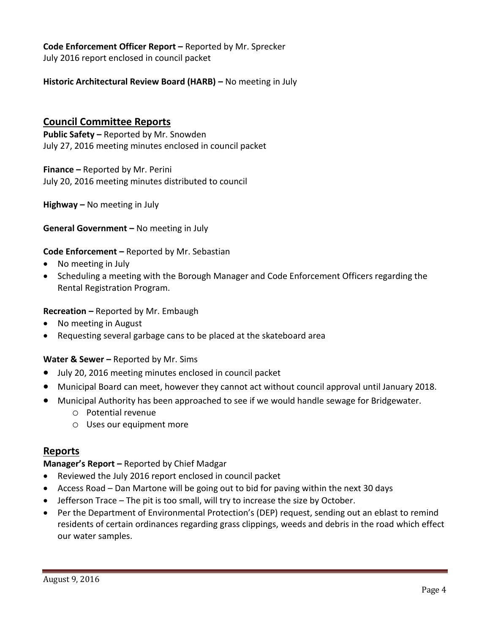**Code Enforcement Officer Report –** Reported by Mr. Sprecker July 2016 report enclosed in council packet

**Historic Architectural Review Board (HARB) – No meeting in July** 

# **Council Committee Reports**

**Public Safety –** Reported by Mr. Snowden July 27, 2016 meeting minutes enclosed in council packet

**Finance –** Reported by Mr. Perini July 20, 2016 meeting minutes distributed to council

**Highway –** No meeting in July

#### **General Government –** No meeting in July

#### **Code Enforcement –** Reported by Mr. Sebastian

- No meeting in July
- Scheduling a meeting with the Borough Manager and Code Enforcement Officers regarding the Rental Registration Program.

#### **Recreation –** Reported by Mr. Embaugh

- No meeting in August
- Requesting several garbage cans to be placed at the skateboard area

### **Water & Sewer –** Reported by Mr. Sims

- July 20, 2016 meeting minutes enclosed in council packet
- Municipal Board can meet, however they cannot act without council approval until January 2018.
- Municipal Authority has been approached to see if we would handle sewage for Bridgewater.
	- o Potential revenue
	- o Uses our equipment more

### **Reports**

## **Manager's Report –** Reported by Chief Madgar

- Reviewed the July 2016 report enclosed in council packet
- Access Road Dan Martone will be going out to bid for paving within the next 30 days
- Jefferson Trace The pit is too small, will try to increase the size by October.
- Per the Department of Environmental Protection's (DEP) request, sending out an eblast to remind residents of certain ordinances regarding grass clippings, weeds and debris in the road which effect our water samples.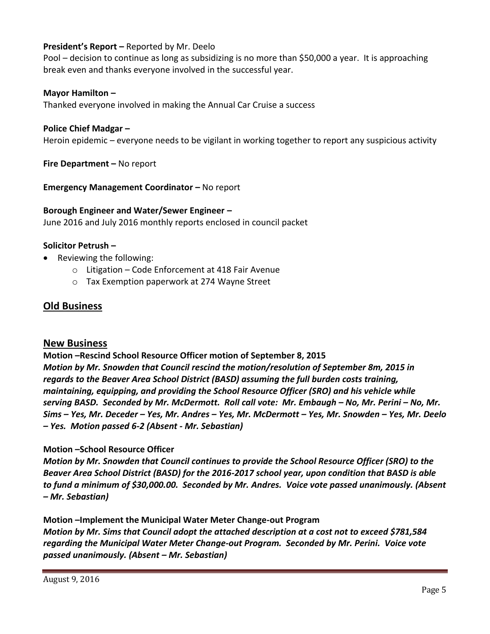## **President's Report –** Reported by Mr. Deelo

Pool – decision to continue as long as subsidizing is no more than \$50,000 a year. It is approaching break even and thanks everyone involved in the successful year.

#### **Mayor Hamilton –**

Thanked everyone involved in making the Annual Car Cruise a success

#### **Police Chief Madgar –**

Heroin epidemic – everyone needs to be vigilant in working together to report any suspicious activity

**Fire Department –** No report

**Emergency Management Coordinator – No report** 

**Borough Engineer and Water/Sewer Engineer –** June 2016 and July 2016 monthly reports enclosed in council packet

#### **Solicitor Petrush –**

- Reviewing the following:
	- o Litigation Code Enforcement at 418 Fair Avenue
	- o Tax Exemption paperwork at 274 Wayne Street

## **Old Business**

### **New Business**

**Motion –Rescind School Resource Officer motion of September 8, 2015** *Motion by Mr. Snowden that Council rescind the motion/resolution of September 8m, 2015 in regards to the Beaver Area School District (BASD) assuming the full burden costs training, maintaining, equipping, and providing the School Resource Officer (SRO) and his vehicle while serving BASD. Seconded by Mr. McDermott. Roll call vote: Mr. Embaugh – No, Mr. Perini – No, Mr. Sims – Yes, Mr. Deceder – Yes, Mr. Andres – Yes, Mr. McDermott – Yes, Mr. Snowden – Yes, Mr. Deelo – Yes. Motion passed 6-2 (Absent - Mr. Sebastian)*

### **Motion –School Resource Officer**

*Motion by Mr. Snowden that Council continues to provide the School Resource Officer (SRO) to the Beaver Area School District (BASD) for the 2016-2017 school year, upon condition that BASD is able to fund a minimum of \$30,000.00. Seconded by Mr. Andres. Voice vote passed unanimously. (Absent – Mr. Sebastian)*

**Motion –Implement the Municipal Water Meter Change-out Program** *Motion by Mr. Sims that Council adopt the attached description at a cost not to exceed \$781,584 regarding the Municipal Water Meter Change-out Program. Seconded by Mr. Perini. Voice vote passed unanimously. (Absent – Mr. Sebastian)*